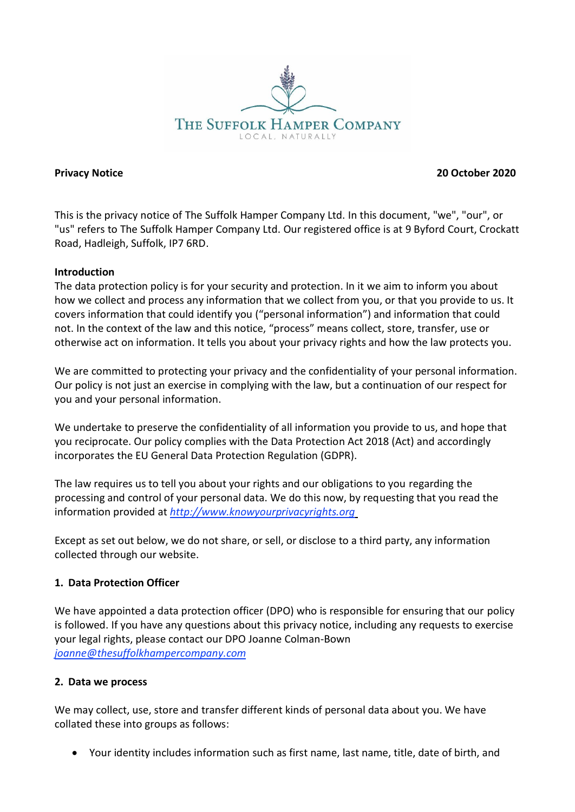

**Privacy Notice 20 October 2020**

This is the privacy notice of The Suffolk Hamper Company Ltd. In this document, "we", "our", or "us" refers to The Suffolk Hamper Company Ltd. Our registered office is at 9 Byford Court, Crockatt Road, Hadleigh, Suffolk, IP7 6RD.

#### **Introduction**

The data protection policy is for your security and protection. In it we aim to inform you about how we collect and process any information that we collect from you, or that you provide to us. It covers information that could identify you ("personal information") and information that could not. In the context of the law and this notice, "process" means collect, store, transfer, use or otherwise act on information. It tells you about your privacy rights and how the law protects you.

We are committed to protecting your privacy and the confidentiality of your personal information. Our policy is not just an exercise in complying with the law, but a continuation of our respect for you and your personal information.

We undertake to preserve the confidentiality of all information you provide to us, and hope that you reciprocate. Our policy complies with the Data Protection Act 2018 (Act) and accordingly incorporates the EU General Data Protection Regulation (GDPR).

The law requires us to tell you about your rights and our obligations to you regarding the processing and control of your personal data. We do this now, by requesting that you read the information provided at *[http://www.knowyourprivacyrights.org](http://www.knowyourprivacyrights.org/)*

Except as set out below, we do not share, or sell, or disclose to a third party, any information collected through our website.

#### **1. Data Protection Officer**

We have appointed a data protection officer (DPO) who is responsible for ensuring that our policy is followed. If you have any questions about this privacy notice, including any requests to exercise your legal rights, please contact our DPO Joanne Colman-Bown *[joanne@thesuffolkhampercompany.com](mailto:joanne@thesuffolkhampercompany.com)*

#### **2. Data we process**

We may collect, use, store and transfer different kinds of personal data about you. We have collated these into groups as follows:

• Your identity includes information such as first name, last name, title, date of birth, and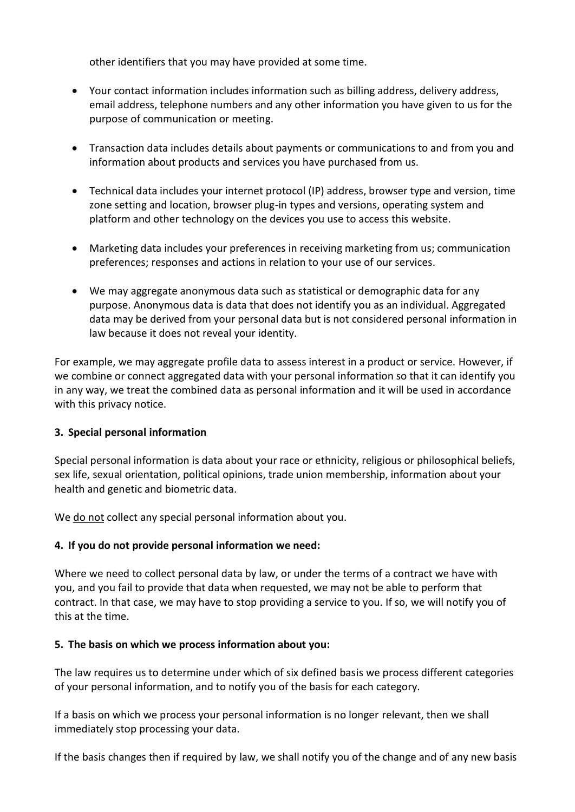other identifiers that you may have provided at some time.

- Your contact information includes information such as billing address, delivery address, email address, telephone numbers and any other information you have given to us for the purpose of communication or meeting.
- Transaction data includes details about payments or communications to and from you and information about products and services you have purchased from us.
- Technical data includes your internet protocol (IP) address, browser type and version, time zone setting and location, browser plug-in types and versions, operating system and platform and other technology on the devices you use to access this website.
- Marketing data includes your preferences in receiving marketing from us; communication preferences; responses and actions in relation to your use of our services.
- We may aggregate anonymous data such as statistical or demographic data for any purpose. Anonymous data is data that does not identify you as an individual. Aggregated data may be derived from your personal data but is not considered personal information in law because it does not reveal your identity.

For example, we may aggregate profile data to assess interest in a product or service. However, if we combine or connect aggregated data with your personal information so that it can identify you in any way, we treat the combined data as personal information and it will be used in accordance with this privacy notice.

## **3. Special personal information**

Special personal information is data about your race or ethnicity, religious or philosophical beliefs, sex life, sexual orientation, political opinions, trade union membership, information about your health and genetic and biometric data.

We do not collect any special personal information about you.

#### **4. If you do not provide personal information we need:**

Where we need to collect personal data by law, or under the terms of a contract we have with you, and you fail to provide that data when requested, we may not be able to perform that contract. In that case, we may have to stop providing a service to you. If so, we will notify you of this at the time.

#### **5. The basis on which we process information about you:**

The law requires us to determine under which of six defined basis we process different categories of your personal information, and to notify you of the basis for each category.

If a basis on which we process your personal information is no longer relevant, then we shall immediately stop processing your data.

If the basis changes then if required by law, we shall notify you of the change and of any new basis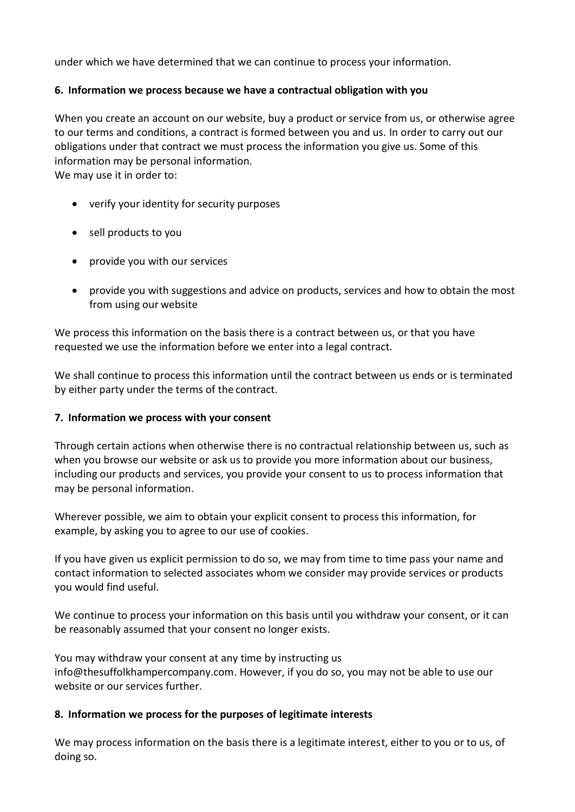under which we have determined that we can continue to process your information.

## **6. Information we process because we have a contractual obligation with you**

When you create an account on our website, buy a product or service from us, or otherwise agree to our terms and conditions, a contract is formed between you and us. In order to carry out our obligations under that contract we must process the information you give us. Some of this information may be personal information.

We may use it in order to:

- verify your identity for security purposes
- sell products to you
- provide you with our services
- provide you with suggestions and advice on products, services and how to obtain the most from using our website

We process this information on the basis there is a contract between us, or that you have requested we use the information before we enter into a legal contract.

We shall continue to process this information until the contract between us ends or is terminated by either party under the terms of the contract.

## **7. Information we process with your consent**

Through certain actions when otherwise there is no contractual relationship between us, such as when you browse our website or ask us to provide you more information about our business, including our products and services, you provide your consent to us to process information that may be personal information.

Wherever possible, we aim to obtain your explicit consent to process this information, for example, by asking you to agree to our use of cookies.

If you have given us explicit permission to do so, we may from time to time pass your name and contact information to selected associates whom we consider may provide services or products you would find useful.

We continue to process your information on this basis until you withdraw your consent, or it can be reasonably assumed that your consent no longer exists.

You may withdraw your consent at any time by instructing us [info@thesuffolkhampercompany.com. H](mailto:sales@soapsnscrubs.co.uk)owever, if you do so, you may not be able to use our website or our services further.

#### **8. Information we process for the purposes of legitimate interests**

We may process information on the basis there is a legitimate interest, either to you or to us, of doing so.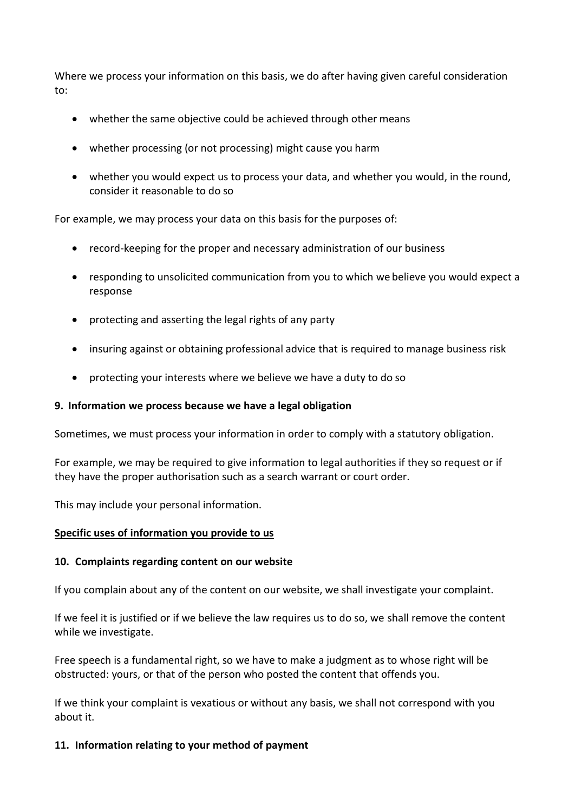Where we process your information on this basis, we do after having given careful consideration to:

- whether the same objective could be achieved through other means
- whether processing (or not processing) might cause you harm
- whether you would expect us to process your data, and whether you would, in the round, consider it reasonable to do so

For example, we may process your data on this basis for the purposes of:

- record-keeping for the proper and necessary administration of our business
- responding to unsolicited communication from you to which we believe you would expect a response
- protecting and asserting the legal rights of any party
- insuring against or obtaining professional advice that is required to manage business risk
- protecting your interests where we believe we have a duty to do so

#### **9. Information we process because we have a legal obligation**

Sometimes, we must process your information in order to comply with a statutory obligation.

For example, we may be required to give information to legal authorities if they so request or if they have the proper authorisation such as a search warrant or court order.

This may include your personal information.

#### **Specific uses of information you provide to us**

#### **10. Complaints regarding content on our website**

If you complain about any of the content on our website, we shall investigate your complaint.

If we feel it is justified or if we believe the law requires us to do so, we shall remove the content while we investigate.

Free speech is a fundamental right, so we have to make a judgment as to whose right will be obstructed: yours, or that of the person who posted the content that offends you.

If we think your complaint is vexatious or without any basis, we shall not correspond with you about it.

#### **11. Information relating to your method of payment**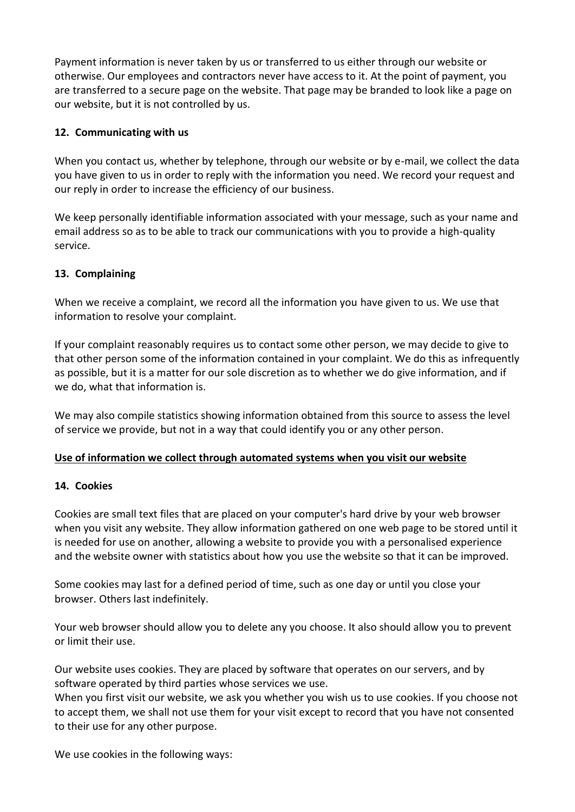Payment information is never taken by us or transferred to us either through our website or otherwise. Our employees and contractors never have access to it. At the point of payment, you are transferred to a secure page on the website. That page may be branded to look like a page on our website, but it is not controlled by us.

# **12. Communicating with us**

When you contact us, whether by telephone, through our website or by e-mail, we collect the data you have given to us in order to reply with the information you need. We record your request and our reply in order to increase the efficiency of our business.

We keep personally identifiable information associated with your message, such as your name and email address so as to be able to track our communications with you to provide a high-quality service.

# **13. Complaining**

When we receive a complaint, we record all the information you have given to us. We use that information to resolve your complaint.

If your complaint reasonably requires us to contact some other person, we may decide to give to that other person some of the information contained in your complaint. We do this as infrequently as possible, but it is a matter for our sole discretion as to whether we do give information, and if we do, what that information is.

We may also compile statistics showing information obtained from this source to assess the level of service we provide, but not in a way that could identify you or any other person.

## **Use of information we collect through automated systems when you visit our website**

## **14. Cookies**

Cookies are small text files that are placed on your computer's hard drive by your web browser when you visit any website. They allow information gathered on one web page to be stored until it is needed for use on another, allowing a website to provide you with a personalised experience and the website owner with statistics about how you use the website so that it can be improved.

Some cookies may last for a defined period of time, such as one day or until you close your browser. Others last indefinitely.

Your web browser should allow you to delete any you choose. It also should allow you to prevent or limit their use.

Our website uses cookies. They are placed by software that operates on our servers, and by software operated by third parties whose services we use.

When you first visit our website, we ask you whether you wish us to use cookies. If you choose not to accept them, we shall not use them for your visit except to record that you have not consented to their use for any other purpose.

We use cookies in the following ways: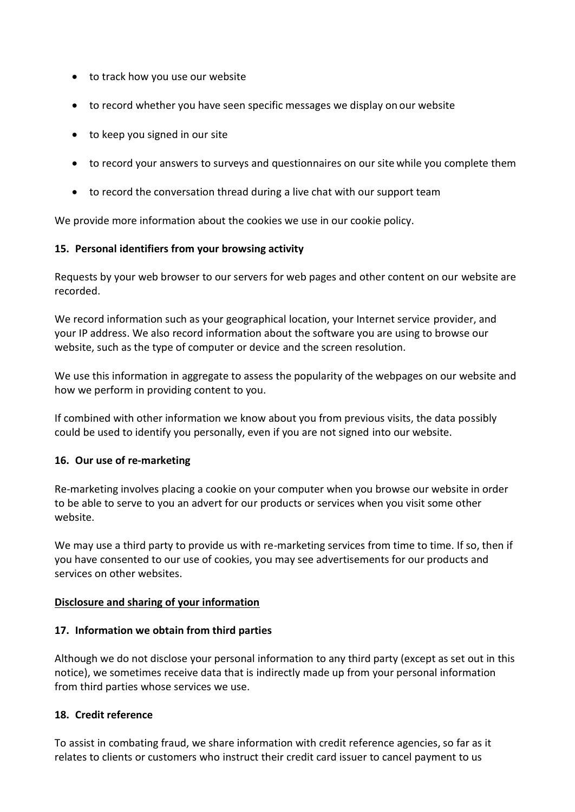- to track how you use our website
- to record whether you have seen specific messages we display on our website
- to keep you signed in our site
- to record your answers to surveys and questionnaires on our site while you complete them
- to record the conversation thread during a live chat with our support team

We provide more information about the cookies we use in our cookie policy.

## **15. Personal identifiers from your browsing activity**

Requests by your web browser to our servers for web pages and other content on our website are recorded.

We record information such as your geographical location, your Internet service provider, and your IP address. We also record information about the software you are using to browse our website, such as the type of computer or device and the screen resolution.

We use this information in aggregate to assess the popularity of the webpages on our website and how we perform in providing content to you.

If combined with other information we know about you from previous visits, the data possibly could be used to identify you personally, even if you are not signed into our website.

#### **16. Our use of re-marketing**

Re-marketing involves placing a cookie on your computer when you browse our website in order to be able to serve to you an advert for our products or services when you visit some other website.

We may use a third party to provide us with re-marketing services from time to time. If so, then if you have consented to our use of cookies, you may see advertisements for our products and services on other websites.

#### **Disclosure and sharing of your information**

#### **17. Information we obtain from third parties**

Although we do not disclose your personal information to any third party (except as set out in this notice), we sometimes receive data that is indirectly made up from your personal information from third parties whose services we use.

#### **18. Credit reference**

To assist in combating fraud, we share information with credit reference agencies, so far as it relates to clients or customers who instruct their credit card issuer to cancel payment to us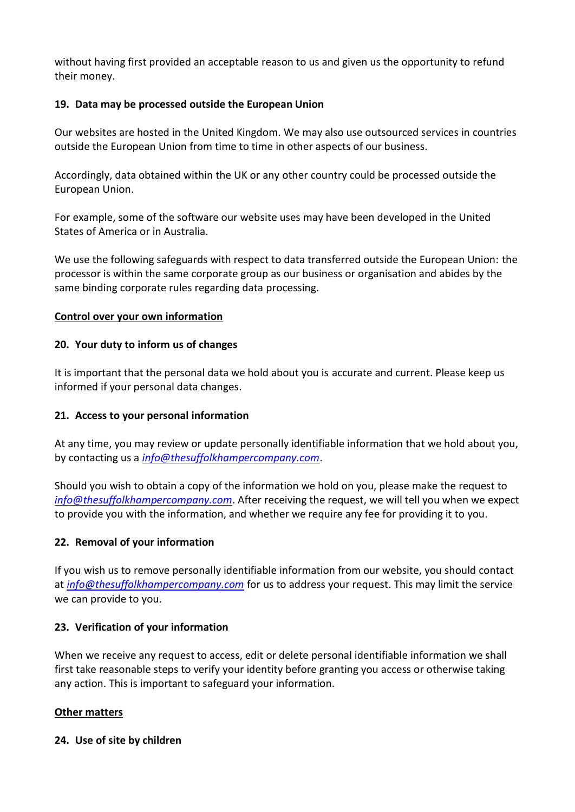without having first provided an acceptable reason to us and given us the opportunity to refund their money.

## **19. Data may be processed outside the European Union**

Our websites are hosted in the United Kingdom. We may also use outsourced services in countries outside the European Union from time to time in other aspects of our business.

Accordingly, data obtained within the UK or any other country could be processed outside the European Union.

For example, some of the software our website uses may have been developed in the United States of America or in Australia.

We use the following safeguards with respect to data transferred outside the European Union: the processor is within the same corporate group as our business or organisation and abides by the same binding corporate rules regarding data processing.

## **Control over your own information**

## **20. Your duty to inform us of changes**

It is important that the personal data we hold about you is accurate and current. Please keep us informed if your personal data changes.

## **21. Access to your personal information**

At any time, you may review or update personally identifiable information that we hold about you, by contacting us a *[info@thesuffolkhampercompany.com](mailto:info@thesuffolkhampercompany.com)*.

Should you wish to obtain a copy of the information we hold on you, please make the request to *[info@thesuffolkhampercompany.com](mailto:info@thesuffolkhampercompany.com)*. After receiving the request, we will tell you when we expect to provide you with the information, and whether we require any fee for providing it to you.

## **22. Removal of your information**

If you wish us to remove personally identifiable information from our website, you should contact at *[info@thesuffolkhampercompany.com](mailto:info@thesuffolkhampercompany.com)* for us to address your request. This may limit the service we can provide to you.

## **23. Verification of your information**

When we receive any request to access, edit or delete personal identifiable information we shall first take reasonable steps to verify your identity before granting you access or otherwise taking any action. This is important to safeguard your information.

#### **Other matters**

#### **24. Use of site by children**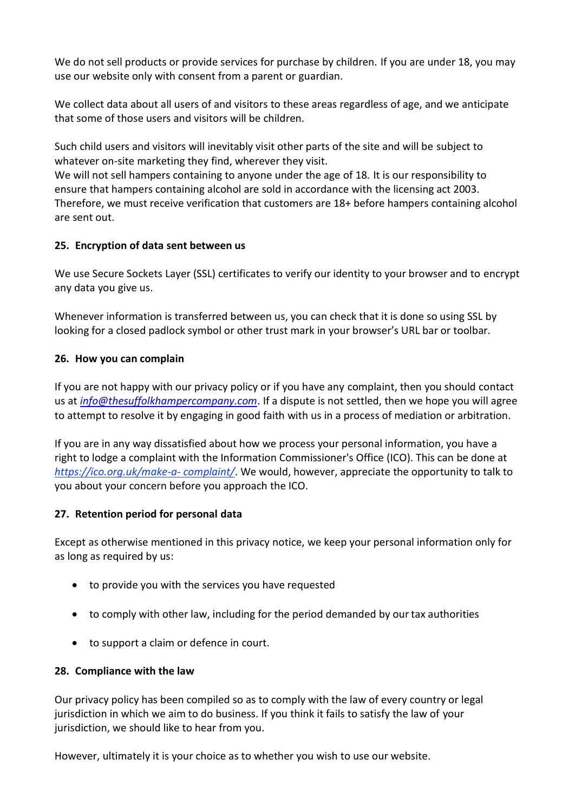We do not sell products or provide services for purchase by children. If you are under 18, you may use our website only with consent from a parent or guardian.

We collect data about all users of and visitors to these areas regardless of age, and we anticipate that some of those users and visitors will be children.

Such child users and visitors will inevitably visit other parts of the site and will be subject to whatever on-site marketing they find, wherever they visit.

We will not sell hampers containing to anyone under the age of 18. It is our responsibility to ensure that hampers containing alcohol are sold in accordance with the licensing act 2003. Therefore, we must receive verification that customers are 18+ before hampers containing alcohol are sent out.

# **25. Encryption of data sent between us**

We use Secure Sockets Layer (SSL) certificates to verify our identity to your browser and to encrypt any data you give us.

Whenever information is transferred between us, you can check that it is done so using SSL by looking for a closed padlock symbol or other trust mark in your browser's URL bar or toolbar.

# **26. How you can complain**

If you are not happy with our privacy policy or if you have any complaint, then you should contact us at *[info@thesuffolkhampercompany.com](mailto:info@thesuffolkhampercompany.com)*. If a dispute is not settled, then we hope you will agree to attempt to resolve it by engaging in good faith with us in a process of mediation or arbitration.

If you are in any way dissatisfied about how we process your personal information, you have a right to lodge a complaint with the Information Commissioner's Office (ICO). This can be done at *[https://ico.org.uk/make-a-](https://ico.org.uk/make-a-complaint/) [complaint/](https://ico.org.uk/make-a-complaint/)*. We would, however, appreciate the opportunity to talk to you about your concern before you approach the ICO.

## **27. Retention period for personal data**

Except as otherwise mentioned in this privacy notice, we keep your personal information only for as long as required by us:

- to provide you with the services you have requested
- to comply with other law, including for the period demanded by our tax authorities
- to support a claim or defence in court.

# **28. Compliance with the law**

Our privacy policy has been compiled so as to comply with the law of every country or legal jurisdiction in which we aim to do business. If you think it fails to satisfy the law of your jurisdiction, we should like to hear from you.

However, ultimately it is your choice as to whether you wish to use our website.